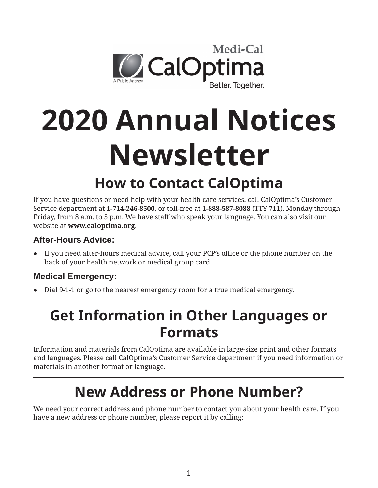

# **How to Contact CalOptima**

If you have questions or need help with your health care services, call CalOptima's Customer Service department at **1-714-246-8500**, or toll-free at **1-888-587-8088** (TTY **711**), Monday through Friday, from 8 a.m. to 5 p.m. We have staff who speak your language. You can also visit our website at **[www.caloptima.org](http://www.caloptima.org)**.

#### **After-Hours Advice:**

● If you need after-hours medical advice, call your PCP's office or the phone number on the back of your health network or medical group card.

#### **Medical Emergency:**

Dial 9-1-1 or go to the nearest emergency room for a true medical emergency.

### **Get Information in Other Languages or Formats**

Information and materials from CalOptima are available in large-size print and other formats and languages. Please call CalOptima's Customer Service department if you need information or materials in another format or language.

## **New Address or Phone Number?**

We need your correct address and phone number to contact you about your health care. If you have a new address or phone number, please report it by calling: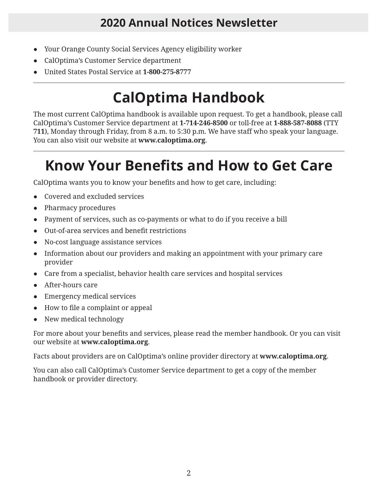- Your Orange County Social Services Agency eligibility worker
- CalOptima's Customer Service department
- United States Postal Service at **1-800-275-8777**

# **CalOptima Handbook**

The most current CalOptima handbook is available upon request. To get a handbook, please call CalOptima's Customer Service department at **1-714-246-8500** or toll-free at **1-888-587-8088** (TTY **711**), Monday through Friday, from 8 a.m. to 5:30 p.m. We have staff who speak your language. You can also visit our website at **[www.caloptima.org](http://www.caloptima.org)**.

# **Know Your Benefits and How to Get Care**

CalOptima wants you to know your benefits and how to get care, including:

- Covered and excluded services
- Pharmacy procedures
- Payment of services, such as co-payments or what to do if you receive a bill
- Out-of-area services and benefit restrictions
- No-cost language assistance services
- Information about our providers and making an appointment with your primary care provider
- Care from a specialist, behavior health care services and hospital services
- After-hours care
- Emergency medical services
- How to file a complaint or appeal
- New medical technology

For more about your benefits and services, please read the member handbook. Or you can visit our website at **[www.caloptima.org](http://www.caloptima.org)**.

Facts about providers are on CalOptima's online provider directory at **[www.caloptima.org](http://www.caloptima.org)**.

You can also call CalOptima's Customer Service department to get a copy of the member handbook or provider directory.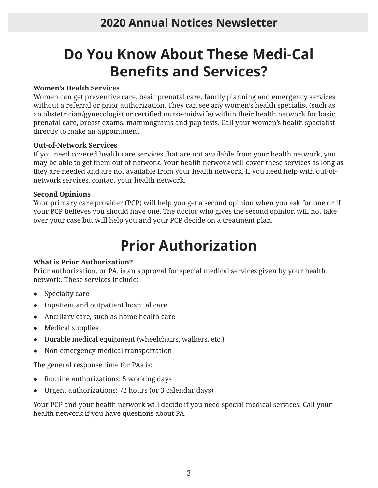### **Do You Know About These Medi-Cal Benefits and Services?**

#### **Women's Health Services**

Women can get preventive care, basic prenatal care, family planning and emergency services without a referral or prior authorization. They can see any women's health specialist (such as an obstetrician/gynecologist or certified nurse-midwife) within their health network for basic prenatal care, breast exams, mammograms and pap tests. Call your women's health specialist directly to make an appointment.

#### **Out-of-Network Services**

If you need covered health care services that are not available from your health network, you may be able to get them out of network. Your health network will cover these services as long as they are needed and are not available from your health network. If you need help with out-ofnetwork services, contact your health network.

#### **Second Opinions**

Your primary care provider (PCP) will help you get a second opinion when you ask for one or if your PCP believes you should have one. The doctor who gives the second opinion will not take over your case but will help you and your PCP decide on a treatment plan.

# **Prior Authorization**

#### **What is Prior Authorization?**

Prior authorization, or PA, is an approval for special medical services given by your health network. These services include:

- Specialty care
- Inpatient and outpatient hospital care
- Ancillary care, such as home health care
- Medical supplies
- Durable medical equipment (wheelchairs, walkers, etc.)
- Non-emergency medical transportation

The general response time for PAs is:

- Routine authorizations: 5 working days
- Urgent authorizations: 72 hours (or 3 calendar days)

Your PCP and your health network will decide if you need special medical services. Call your health network if you have questions about PA.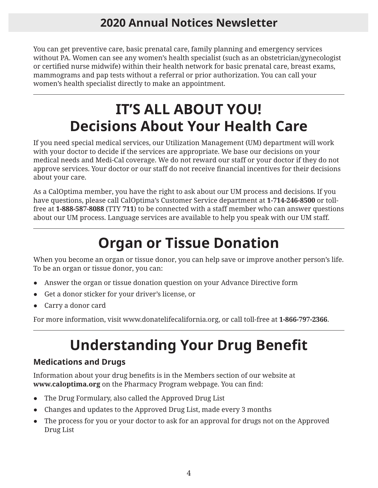You can get preventive care, basic prenatal care, family planning and emergency services without PA. Women can see any women's health specialist (such as an obstetrician/gynecologist or certified nurse midwife) within their health network for basic prenatal care, breast exams, mammograms and pap tests without a referral or prior authorization. You can call your women's health specialist directly to make an appointment.

# **IT'S ALL ABOUT YOU! Decisions About Your Health Care**

If you need special medical services, our Utilization Management (UM) department will work with your doctor to decide if the services are appropriate. We base our decisions on your medical needs and Medi-Cal coverage. We do not reward our staff or your doctor if they do not approve services. Your doctor or our staff do not receive financial incentives for their decisions about your care.

As a CalOptima member, you have the right to ask about our UM process and decisions. If you have questions, please call CalOptima's Customer Service department at **1-714-246-8500** or tollfree at **1-888-587-8088** (TTY **711**) to be connected with a staff member who can answer questions about our UM process. Language services are available to help you speak with our UM staff.

# **Organ or Tissue Donation**

When you become an organ or tissue donor, you can help save or improve another person's life. To be an organ or tissue donor, you can:

- Answer the organ or tissue donation question on your Advance Directive form
- Get a donor sticker for your driver's license, or
- Carry a donor card

For more information, visit [www.donatelifecalifornia.org,](http://www.donatelifecalifornia.org) or call toll-free at **1-866-797-2366**.

# **Understanding Your Drug Benefit**

#### **Medications and Drugs**

Information about your drug benefits is in the Members section of our website at **[www.caloptima.org](http://www.caloptima.org)** on the Pharmacy Program webpage. You can find:

- The Drug Formulary, also called the Approved Drug List
- Changes and updates to the Approved Drug List, made every 3 months
- The process for you or your doctor to ask for an approval for drugs not on the Approved Drug List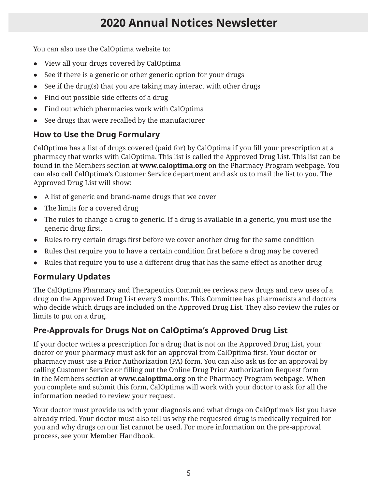You can also use the CalOptima website to:

- View all your drugs covered by CalOptima
- See if there is a generic or other generic option for your drugs
- See if the drug(s) that you are taking may interact with other drugs
- Find out possible side effects of a drug
- Find out which pharmacies work with CalOptima
- See drugs that were recalled by the manufacturer

#### **How to Use the Drug Formulary**

CalOptima has a list of drugs covered (paid for) by CalOptima if you fill your prescription at a pharmacy that works with CalOptima. This list is called the Approved Drug List. This list can be found in the Members section at **[www.caloptima.org](http://www.caloptima.org)** on the Pharmacy Program webpage. You can also call CalOptima's Customer Service department and ask us to mail the list to you. The Approved Drug List will show:

- A list of generic and brand-name drugs that we cover
- The limits for a covered drug
- The rules to change a drug to generic. If a drug is available in a generic, you must use the generic drug first.
- Rules to try certain drugs first before we cover another drug for the same condition
- Rules that require you to have a certain condition first before a drug may be covered
- Rules that require you to use a different drug that has the same effect as another drug

#### **Formulary Updates**

The CalOptima Pharmacy and Therapeutics Committee reviews new drugs and new uses of a drug on the Approved Drug List every 3 months. This Committee has pharmacists and doctors who decide which drugs are included on the Approved Drug List. They also review the rules or limits to put on a drug.

#### **Pre-Approvals for Drugs Not on CalOptima's Approved Drug List**

If your doctor writes a prescription for a drug that is not on the Approved Drug List, your doctor or your pharmacy must ask for an approval from CalOptima first. Your doctor or pharmacy must use a Prior Authorization (PA) form. You can also ask us for an approval by calling Customer Service or filling out the Online Drug Prior Authorization Request form in the Members section at **[www.caloptima.org](http://www.caloptima.org)** on the Pharmacy Program webpage. When you complete and submit this form, CalOptima will work with your doctor to ask for all the information needed to review your request.

Your doctor must provide us with your diagnosis and what drugs on CalOptima's list you have already tried. Your doctor must also tell us why the requested drug is medically required for you and why drugs on our list cannot be used. For more information on the pre-approval process, see your Member Handbook.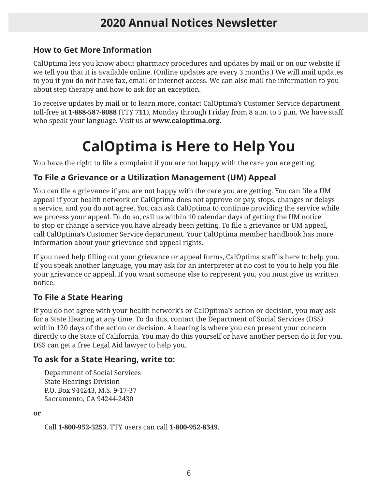#### **How to Get More Information**

CalOptima lets you know about pharmacy procedures and updates by mail or on our website if we tell you that it is available online. (Online updates are every 3 months.) We will mail updates to you if you do not have fax, email or internet access. We can also mail the information to you about step therapy and how to ask for an exception.

To receive updates by mail or to learn more, contact CalOptima's Customer Service department toll-free at **1-888-587-8088** (TTY **711**), Monday through Friday from 8 a.m. to 5 p.m. We have staff who speak your language. Visit us at **[www.caloptima.org](http://www.caloptima.org)**.

# **CalOptima is Here to Help You**

You have the right to file a complaint if you are not happy with the care you are getting.

#### **To File a Grievance or a Utilization Management (UM) Appeal**

You can file a grievance if you are not happy with the care you are getting. You can file a UM appeal if your health network or CalOptima does not approve or pay, stops, changes or delays a service, and you do not agree. You can ask CalOptima to continue providing the service while we process your appeal. To do so, call us within 10 calendar days of getting the UM notice to stop or change a service you have already been getting. To file a grievance or UM appeal, call CalOptima's Customer Service department. Your CalOptima member handbook has more information about your grievance and appeal rights.

If you need help filling out your grievance or appeal forms, CalOptima staff is here to help you. If you speak another language, you may ask for an interpreter at no cost to you to help you file your grievance or appeal. If you want someone else to represent you, you must give us written notice.

#### **To File a State Hearing**

If you do not agree with your health network's or CalOptima's action or decision, you may ask for a State Hearing at any time. To do this, contact the Department of Social Services (DSS) within 120 days of the action or decision. A hearing is where you can present your concern directly to the State of California. You may do this yourself or have another person do it for you. DSS can get a free Legal Aid lawyer to help you.

#### **To ask for a State Hearing, write to:**

Department of Social Services State Hearings Division P.O. Box 944243, M.S. 9-17-37 Sacramento, CA 94244-2430

**or**

Call **1-800-952-5253**. TTY users can call **1-800-952-8349**.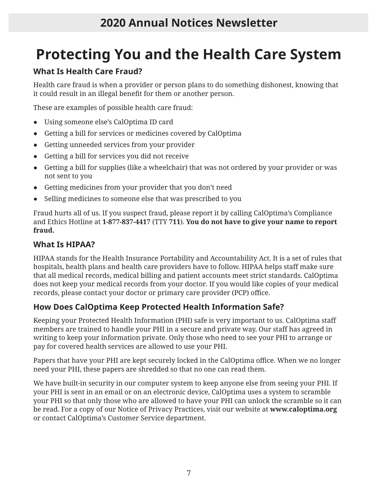# **Protecting You and the Health Care System**

#### **What Is Health Care Fraud?**

Health care fraud is when a provider or person plans to do something dishonest, knowing that it could result in an illegal benefit for them or another person.

These are examples of possible health care fraud:

- Using someone else's CalOptima ID card
- Getting a bill for services or medicines covered by CalOptima
- Getting unneeded services from your provider
- Getting a bill for services you did not receive
- Getting a bill for supplies (like a wheelchair) that was not ordered by your provider or was not sent to you
- Getting medicines from your provider that you don't need
- Selling medicines to someone else that was prescribed to you

Fraud hurts all of us. If you suspect fraud, please report it by calling CalOptima's Compliance and Ethics Hotline at **1-877-837-4417** (TTY **711**). **You do not have to give your name to report fraud.** 

#### **What Is HIPAA?**

HIPAA stands for the Health Insurance Portability and Accountability Act. It is a set of rules that hospitals, health plans and health care providers have to follow. HIPAA helps staff make sure that all medical records, medical billing and patient accounts meet strict standards. CalOptima does not keep your medical records from your doctor. If you would like copies of your medical records, please contact your doctor or primary care provider (PCP) office.

#### **How Does CalOptima Keep Protected Health Information Safe?**

Keeping your Protected Health Information (PHI) safe is very important to us. CalOptima staff members are trained to handle your PHI in a secure and private way. Our staff has agreed in writing to keep your information private. Only those who need to see your PHI to arrange or pay for covered health services are allowed to use your PHI.

Papers that have your PHI are kept securely locked in the CalOptima office. When we no longer need your PHI, these papers are shredded so that no one can read them.

We have built-in security in our computer system to keep anyone else from seeing your PHI. If your PHI is sent in an email or on an electronic device, CalOptima uses a system to scramble your PHI so that only those who are allowed to have your PHI can unlock the scramble so it can be read. For a copy of our Notice of Privacy Practices, visit our website at **[www.caloptima.org](http://www.caloptima.org)** or contact CalOptima's Customer Service department.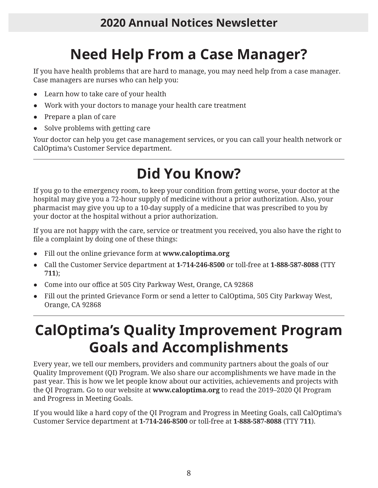# **Need Help From a Case Manager?**

If you have health problems that are hard to manage, you may need help from a case manager. Case managers are nurses who can help you:

- Learn how to take care of your health
- Work with your doctors to manage your health care treatment
- Prepare a plan of care
- Solve problems with getting care

Your doctor can help you get case management services, or you can call your health network or CalOptima's Customer Service department.

# **Did You Know?**

If you go to the emergency room, to keep your condition from getting worse, your doctor at the hospital may give you a 72-hour supply of medicine without a prior authorization. Also, your pharmacist may give you up to a 10-day supply of a medicine that was prescribed to you by your doctor at the hospital without a prior authorization.

If you are not happy with the care, service or treatment you received, you also have the right to file a complaint by doing one of these things:

- Fill out the online grievance form at **[www.caloptima.org](http://www.caloptima.org)**
- Call the Customer Service department at **1-714-246-8500** or toll-free at **1-888-587-8088** (TTY **711**);
- Come into our office at 505 City Parkway West, Orange, CA 92868
- Fill out the printed Grievance Form or send a letter to CalOptima, 505 City Parkway West, Orange, CA 92868

### **CalOptima's Quality Improvement Program Goals and Accomplishments**

Every year, we tell our members, providers and community partners about the goals of our Quality Improvement (QI) Program. We also share our accomplishments we have made in the past year. This is how we let people know about our activities, achievements and projects with the QI Program. Go to our website at **[www.caloptima.org](http://www.caloptima.org)** to read the 2019–2020 QI Program and Progress in Meeting Goals.

If you would like a hard copy of the QI Program and Progress in Meeting Goals, call CalOptima's Customer Service department at **1-714-246-8500** or toll-free at **1-888-587-8088** (TTY **711**).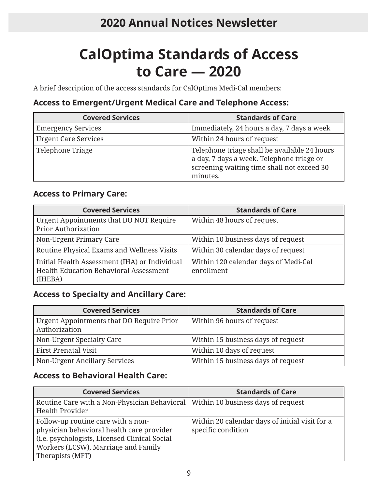### **CalOptima Standards of Access to Care — 2020**

A brief description of the access standards for CalOptima Medi-Cal members:

#### **Access to Emergent/Urgent Medical Care and Telephone Access:**

| <b>Covered Services</b>     | <b>Standards of Care</b>                                                                                                                            |
|-----------------------------|-----------------------------------------------------------------------------------------------------------------------------------------------------|
| <b>Emergency Services</b>   | Immediately, 24 hours a day, 7 days a week                                                                                                          |
| <b>Urgent Care Services</b> | Within 24 hours of request                                                                                                                          |
| Telephone Triage            | Telephone triage shall be available 24 hours<br>a day, 7 days a week. Telephone triage or<br>screening waiting time shall not exceed 30<br>minutes. |

#### **Access to Primary Care:**

| <b>Covered Services</b>                                                                                   | <b>Standards of Care</b>                           |
|-----------------------------------------------------------------------------------------------------------|----------------------------------------------------|
| Urgent Appointments that DO NOT Require<br>Prior Authorization                                            | Within 48 hours of request                         |
| Non-Urgent Primary Care                                                                                   | Within 10 business days of request                 |
| Routine Physical Exams and Wellness Visits                                                                | Within 30 calendar days of request                 |
| Initial Health Assessment (IHA) or Individual<br><b>Health Education Behavioral Assessment</b><br>(IHEBA) | Within 120 calendar days of Medi-Cal<br>enrollment |

#### **Access to Specialty and Ancillary Care:**

| <b>Covered Services</b>                                    | <b>Standards of Care</b>           |
|------------------------------------------------------------|------------------------------------|
| Urgent Appointments that DO Require Prior<br>Authorization | Within 96 hours of request         |
| Non-Urgent Specialty Care                                  | Within 15 business days of request |
| <b>First Prenatal Visit</b>                                | Within 10 days of request          |
| Non-Urgent Ancillary Services                              | Within 15 business days of request |

#### **Access to Behavioral Health Care:**

| <b>Covered Services</b>                                                                                                                                                                     | <b>Standards of Care</b>                                             |
|---------------------------------------------------------------------------------------------------------------------------------------------------------------------------------------------|----------------------------------------------------------------------|
| Routine Care with a Non-Physician Behavioral   Within 10 business days of request<br>Health Provider                                                                                        |                                                                      |
| Follow-up routine care with a non-<br>physician behavioral health care provider<br>(i.e. psychologists, Licensed Clinical Social<br>Workers (LCSW), Marriage and Family<br>Therapists (MFT) | Within 20 calendar days of initial visit for a<br>specific condition |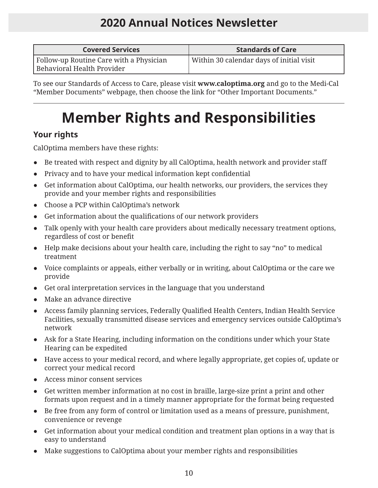| <b>Covered Services</b>                                               | <b>Standards of Care</b>                 |
|-----------------------------------------------------------------------|------------------------------------------|
| Follow-up Routine Care with a Physician<br>Behavioral Health Provider | Within 30 calendar days of initial visit |

To see our Standards of Access to Care, please visit **[www.caloptima.org](http://www.caloptima.org)** and go to the Medi-Cal "Member Documents" webpage, then choose the link for "Other Important Documents."

# **Member Rights and Responsibilities**

#### **Your rights**

CalOptima members have these rights:

- Be treated with respect and dignity by all CalOptima, health network and provider staff
- Privacy and to have your medical information kept confidential
- Get information about CalOptima, our health networks, our providers, the services they provide and your member rights and responsibilities
- Choose a PCP within CalOptima's network
- Get information about the qualifications of our network providers
- Talk openly with your health care providers about medically necessary treatment options, regardless of cost or benefit
- Help make decisions about your health care, including the right to say "no" to medical treatment
- Voice complaints or appeals, either verbally or in writing, about CalOptima or the care we provide
- Get oral interpretation services in the language that you understand
- Make an advance directive
- Access family planning services, Federally Qualified Health Centers, Indian Health Service Facilities, sexually transmitted disease services and emergency services outside CalOptima's network
- Ask for a State Hearing, including information on the conditions under which your State Hearing can be expedited
- Have access to your medical record, and where legally appropriate, get copies of, update or correct your medical record
- Access minor consent services
- Get written member information at no cost in braille, large-size print a print and other formats upon request and in a timely manner appropriate for the format being requested
- Be free from any form of control or limitation used as a means of pressure, punishment, convenience or revenge
- Get information about your medical condition and treatment plan options in a way that is easy to understand
- Make suggestions to CalOptima about your member rights and responsibilities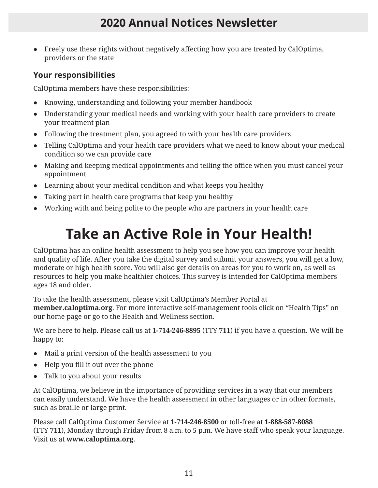● Freely use these rights without negatively affecting how you are treated by CalOptima, providers or the state

#### **Your responsibilities**

CalOptima members have these responsibilities:

- Knowing, understanding and following your member handbook
- Understanding your medical needs and working with your health care providers to create your treatment plan
- Following the treatment plan, you agreed to with your health care providers
- Telling CalOptima and your health care providers what we need to know about your medical condition so we can provide care
- Making and keeping medical appointments and telling the office when you must cancel your appointment
- Learning about your medical condition and what keeps you healthy
- Taking part in health care programs that keep you healthy
- Working with and being polite to the people who are partners in your health care

# **Take an Active Role in Your Health!**

CalOptima has an online health assessment to help you see how you can improve your health and quality of life. After you take the digital survey and submit your answers, you will get a low, moderate or high health score. You will also get details on areas for you to work on, as well as resources to help you make healthier choices. This survey is intended for CalOptima members ages 18 and older.

To take the health assessment, please visit CalOptima's Member Portal at **[member.caloptima.org](http://member.caloptima.org)**. For more interactive self-management tools click on "Health Tips" on our home page or go to the Health and Wellness section.

We are here to help. Please call us at **1-714-246-8895** (TTY **711**) if you have a question. We will be happy to:

- Mail a print version of the health assessment to you
- Help you fill it out over the phone
- Talk to you about your results

At CalOptima, we believe in the importance of providing services in a way that our members can easily understand. We have the health assessment in other languages or in other formats, such as braille or large print.

Please call CalOptima Customer Service at **1-714-246-8500** or toll-free at **1-888-587-8088**  (TTY **711**), Monday through Friday from 8 a.m. to 5 p.m. We have staff who speak your language. Visit us at **[www.caloptima.org](http://www.caloptima.org)**.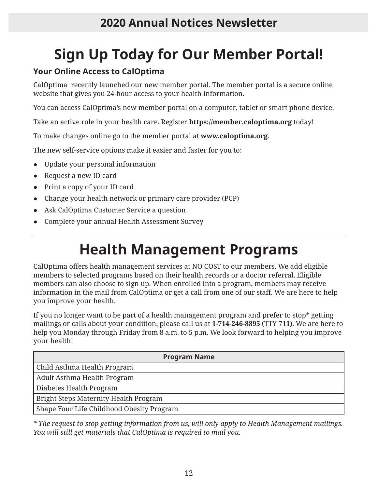# **Sign Up Today for Our Member Portal!**

#### **Your Online Access to CalOptima**

CalOptima recently launched our new member portal. The member portal is a secure online website that gives you 24-hour access to your health information.

You can access CalOptima's new member portal on a computer, tablet or smart phone device.

Take an active role in your health care. Register **<https://member.caloptima.org>** today!

To make changes online go to the member portal at **[www.caloptima.org](http://www.caloptima.org)**.

The new self-service options make it easier and faster for you to:

- Update your personal information
- Request a new ID card
- Print a copy of your ID card
- Change your health network or primary care provider (PCP)
- Ask CalOptima Customer Service a question
- Complete your annual Health Assessment Survey

# **Health Management Programs**

CalOptima offers health management services at NO COST to our members. We add eligible members to selected programs based on their health records or a doctor referral. Eligible members can also choose to sign up. When enrolled into a program, members may receive information in the mail from CalOptima or get a call from one of our staff. We are here to help you improve your health.

If you no longer want to be part of a health management program and prefer to stop\* getting mailings or calls about your condition, please call us at **1-714-246-8895** (TTY **711**). We are here to help you Monday through Friday from 8 a.m. to 5 p.m. We look forward to helping you improve your health!

| <b>Program Name</b>                       |  |  |
|-------------------------------------------|--|--|
| Child Asthma Health Program               |  |  |
| Adult Asthma Health Program               |  |  |
| Diabetes Health Program                   |  |  |
| Bright Steps Maternity Health Program     |  |  |
| Shape Your Life Childhood Obesity Program |  |  |

*\* The request to stop getting information from us, will only apply to Health Management mailings. You will still get materials that CalOptima is required to mail you.*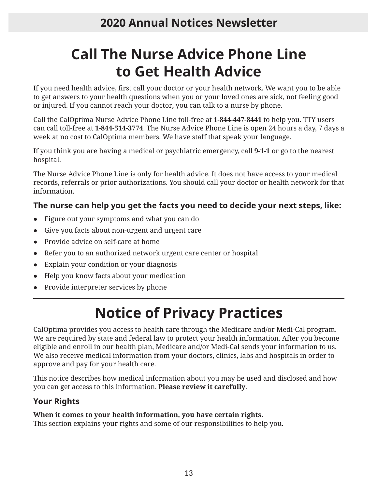# **Call The Nurse Advice Phone Line to Get Health Advice**

If you need health advice, first call your doctor or your health network. We want you to be able to get answers to your health questions when you or your loved ones are sick, not feeling good or injured. If you cannot reach your doctor, you can talk to a nurse by phone.

Call the CalOptima Nurse Advice Phone Line toll-free at **1-844-447-8441** to help you. TTY users can call toll-free at **1-844-514-3774**. The Nurse Advice Phone Line is open 24 hours a day, 7 days a week at no cost to CalOptima members. We have staff that speak your language.

If you think you are having a medical or psychiatric emergency, call **9-1-1** or go to the nearest hospital.

The Nurse Advice Phone Line is only for health advice. It does not have access to your medical records, referrals or prior authorizations. You should call your doctor or health network for that information.

#### **The nurse can help you get the facts you need to decide your next steps, like:**

- Figure out your symptoms and what you can do
- Give you facts about non-urgent and urgent care
- Provide advice on self-care at home
- Refer you to an authorized network urgent care center or hospital
- Explain your condition or your diagnosis
- Help you know facts about your medication
- Provide interpreter services by phone

# **Notice of Privacy Practices**

CalOptima provides you access to health care through the Medicare and/or Medi-Cal program. We are required by state and federal law to protect your health information. After you become eligible and enroll in our health plan, Medicare and/or Medi-Cal sends your information to us. We also receive medical information from your doctors, clinics, labs and hospitals in order to approve and pay for your health care.

This notice describes how medical information about you may be used and disclosed and how you can get access to this information. **Please review it carefully**.

#### **Your Rights**

#### **When it comes to your health information, you have certain rights.**

This section explains your rights and some of our responsibilities to help you.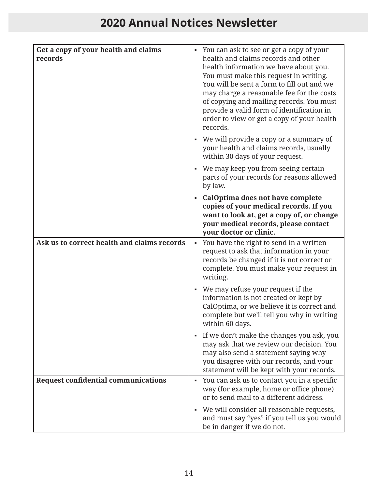| Get a copy of your health and claims<br>records | • You can ask to see or get a copy of your<br>health and claims records and other<br>health information we have about you.<br>You must make this request in writing.<br>You will be sent a form to fill out and we<br>may charge a reasonable fee for the costs<br>of copying and mailing records. You must<br>provide a valid form of identification in<br>order to view or get a copy of your health<br>records. |
|-------------------------------------------------|--------------------------------------------------------------------------------------------------------------------------------------------------------------------------------------------------------------------------------------------------------------------------------------------------------------------------------------------------------------------------------------------------------------------|
|                                                 | We will provide a copy or a summary of<br>your health and claims records, usually<br>within 30 days of your request.                                                                                                                                                                                                                                                                                               |
|                                                 | • We may keep you from seeing certain<br>parts of your records for reasons allowed<br>by law.                                                                                                                                                                                                                                                                                                                      |
|                                                 | CalOptima does not have complete<br>copies of your medical records. If you<br>want to look at, get a copy of, or change<br>your medical records, please contact<br>your doctor or clinic.                                                                                                                                                                                                                          |
| Ask us to correct health and claims records     | You have the right to send in a written<br>$\blacksquare$<br>request to ask that information in your<br>records be changed if it is not correct or<br>complete. You must make your request in<br>writing.                                                                                                                                                                                                          |
|                                                 | We may refuse your request if the<br>information is not created or kept by<br>CalOptima, or we believe it is correct and<br>complete but we'll tell you why in writing<br>within 60 days.                                                                                                                                                                                                                          |
|                                                 | If we don't make the changes you ask, you<br>٠<br>may ask that we review our decision. You<br>may also send a statement saying why<br>you disagree with our records, and your<br>statement will be kept with your records.                                                                                                                                                                                         |
| <b>Request confidential communications</b>      | You can ask us to contact you in a specific<br>way (for example, home or office phone)<br>or to send mail to a different address.                                                                                                                                                                                                                                                                                  |
|                                                 | We will consider all reasonable requests,<br>٠<br>and must say "yes" if you tell us you would<br>be in danger if we do not.                                                                                                                                                                                                                                                                                        |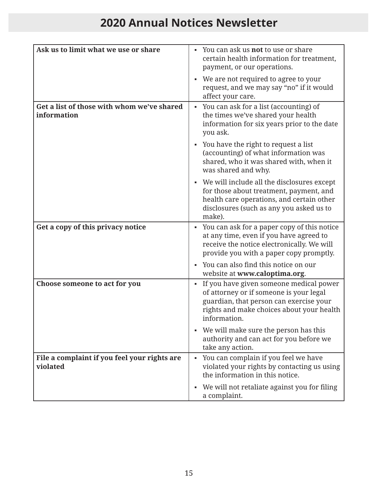| Ask us to limit what we use or share                      | You can ask us <b>not</b> to use or share<br>certain health information for treatment,<br>payment, or our operations.                                                                      |
|-----------------------------------------------------------|--------------------------------------------------------------------------------------------------------------------------------------------------------------------------------------------|
|                                                           | We are not required to agree to your<br>٠<br>request, and we may say "no" if it would<br>affect your care.                                                                                 |
| Get a list of those with whom we've shared<br>information | You can ask for a list (accounting) of<br>٠,<br>the times we've shared your health<br>information for six years prior to the date<br>you ask.                                              |
|                                                           | • You have the right to request a list<br>(accounting) of what information was<br>shared, who it was shared with, when it<br>was shared and why.                                           |
|                                                           | • We will include all the disclosures except<br>for those about treatment, payment, and<br>health care operations, and certain other<br>disclosures (such as any you asked us to<br>make). |
| Get a copy of this privacy notice                         | • You can ask for a paper copy of this notice<br>at any time, even if you have agreed to<br>receive the notice electronically. We will<br>provide you with a paper copy promptly.          |
|                                                           | You can also find this notice on our<br>website at www.caloptima.org.                                                                                                                      |
| Choose someone to act for you                             | If you have given someone medical power<br>of attorney or if someone is your legal<br>guardian, that person can exercise your<br>rights and make choices about your health<br>information. |
|                                                           | We will make sure the person has this<br>٠<br>authority and can act for you before we<br>take any action.                                                                                  |
| File a complaint if you feel your rights are<br>violated  | You can complain if you feel we have<br>violated your rights by contacting us using<br>the information in this notice.                                                                     |
|                                                           | We will not retaliate against you for filing<br>٠<br>a complaint.                                                                                                                          |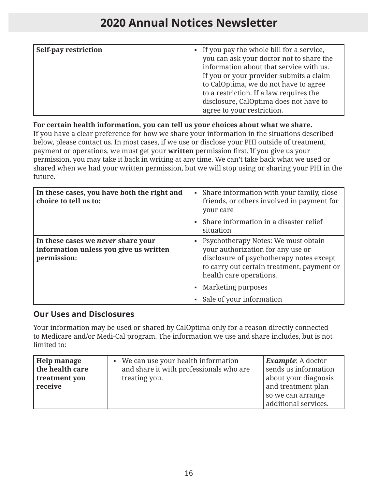#### **For certain health information, you can tell us your choices about what we share.**

If you have a clear preference for how we share your information in the situations described below, please contact us. In most cases, if we use or disclose your PHI outside of treatment, payment or operations, we must get your **written** permission first. If you give us your permission, you may take it back in writing at any time. We can't take back what we used or shared when we had your written permission, but we will stop using or sharing your PHI in the future.

| In these cases, you have both the right and<br>choice to tell us to:                        | Share information with your family, close<br>$\mathbf{r}$<br>friends, or others involved in payment for<br>your care                                                                          |  |
|---------------------------------------------------------------------------------------------|-----------------------------------------------------------------------------------------------------------------------------------------------------------------------------------------------|--|
|                                                                                             | Share information in a disaster relief<br>situation                                                                                                                                           |  |
| In these cases we never share your<br>information unless you give us written<br>permission: | Psychotherapy Notes: We must obtain<br>your authorization for any use or<br>disclosure of psychotherapy notes except<br>to carry out certain treatment, payment or<br>health care operations. |  |
|                                                                                             | Marketing purposes<br>Sale of your information                                                                                                                                                |  |

#### **Our Uses and Disclosures**

Your information may be used or shared by CalOptima only for a reason directly connected to Medicare and/or Medi-Cal program. The information we use and share includes, but is not limited to:

| <b>Help manage</b><br>the health care<br>treatment you<br>  receive | • We can use your health information<br>and share it with professionals who are<br>treating you. | <i>Example: A doctor</i><br>sends us information<br>about your diagnosis<br>and treatment plan<br>so we can arrange<br>additional services. |
|---------------------------------------------------------------------|--------------------------------------------------------------------------------------------------|---------------------------------------------------------------------------------------------------------------------------------------------|
|---------------------------------------------------------------------|--------------------------------------------------------------------------------------------------|---------------------------------------------------------------------------------------------------------------------------------------------|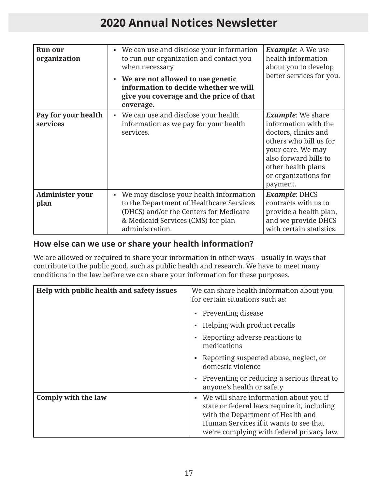| Run our<br>organization         | We can use and disclose your information<br>٠<br>to run our organization and contact you<br>when necessary.<br>• We are not allowed to use genetic<br>information to decide whether we will<br>give you coverage and the price of that<br>coverage. | <b>Example:</b> A We use<br>health information<br>about you to develop<br>better services for you.                                                                                                         |
|---------------------------------|-----------------------------------------------------------------------------------------------------------------------------------------------------------------------------------------------------------------------------------------------------|------------------------------------------------------------------------------------------------------------------------------------------------------------------------------------------------------------|
| Pay for your health<br>services | We can use and disclose your health<br>$\blacksquare$<br>information as we pay for your health<br>services.                                                                                                                                         | <b>Example:</b> We share<br>information with the<br>doctors, clinics and<br>others who bill us for<br>your care. We may<br>also forward bills to<br>other health plans<br>or organizations for<br>payment. |
| Administer your<br>plan         | We may disclose your health information<br>×,<br>to the Department of Healthcare Services<br>(DHCS) and/or the Centers for Medicare<br>& Medicaid Services (CMS) for plan<br>administration.                                                        | <b>Example: DHCS</b><br>contracts with us to<br>provide a health plan,<br>and we provide DHCS<br>with certain statistics.                                                                                  |

#### **How else can we use or share your health information?**

We are allowed or required to share your information in other ways – usually in ways that contribute to the public good, such as public health and research. We have to meet many conditions in the law before we can share your information for these purposes.

| We can share health information about you<br>for certain situations such as:                                                                                                                                           |
|------------------------------------------------------------------------------------------------------------------------------------------------------------------------------------------------------------------------|
| Preventing disease<br>Helping with product recalls<br>Reporting adverse reactions to<br>medications                                                                                                                    |
| Reporting suspected abuse, neglect, or<br>domestic violence                                                                                                                                                            |
| Preventing or reducing a serious threat to<br>anyone's health or safety                                                                                                                                                |
| We will share information about you if<br>٠<br>state or federal laws require it, including<br>with the Department of Health and<br>Human Services if it wants to see that<br>we're complying with federal privacy law. |
|                                                                                                                                                                                                                        |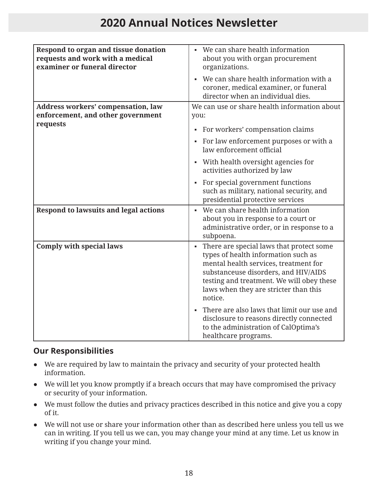| Respond to organ and tissue donation<br>requests and work with a medical<br>examiner or funeral director | We can share health information<br>about you with organ procurement<br>organizations.<br>We can share health information with a<br>coroner, medical examiner, or funeral                                                                                          |
|----------------------------------------------------------------------------------------------------------|-------------------------------------------------------------------------------------------------------------------------------------------------------------------------------------------------------------------------------------------------------------------|
|                                                                                                          | director when an individual dies.                                                                                                                                                                                                                                 |
| <b>Address workers' compensation, law</b><br>enforcement, and other government                           | We can use or share health information about<br>you:                                                                                                                                                                                                              |
| requests                                                                                                 | For workers' compensation claims<br>٠,                                                                                                                                                                                                                            |
|                                                                                                          | • For law enforcement purposes or with a<br>law enforcement official                                                                                                                                                                                              |
|                                                                                                          | • With health oversight agencies for<br>activities authorized by law                                                                                                                                                                                              |
|                                                                                                          | For special government functions<br>such as military, national security, and<br>presidential protective services                                                                                                                                                  |
| <b>Respond to lawsuits and legal actions</b>                                                             | We can share health information<br>about you in response to a court or<br>administrative order, or in response to a<br>subpoena.                                                                                                                                  |
| <b>Comply with special laws</b>                                                                          | There are special laws that protect some<br>types of health information such as<br>mental health services, treatment for<br>substanceuse disorders, and HIV/AIDS<br>testing and treatment. We will obey these<br>laws when they are stricter than this<br>notice. |
|                                                                                                          | There are also laws that limit our use and<br>disclosure to reasons directly connected<br>to the administration of CalOptima's<br>healthcare programs.                                                                                                            |

#### **Our Responsibilities**

- We are required by law to maintain the privacy and security of your protected health information.
- We will let you know promptly if a breach occurs that may have compromised the privacy or security of your information.
- We must follow the duties and privacy practices described in this notice and give you a copy of it.
- We will not use or share your information other than as described here unless you tell us we can in writing. If you tell us we can, you may change your mind at any time. Let us know in writing if you change your mind.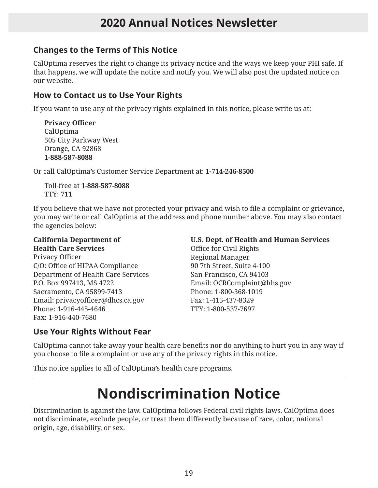#### **Changes to the Terms of This Notice**

CalOptima reserves the right to change its privacy notice and the ways we keep your PHI safe. If that happens, we will update the notice and notify you. We will also post the updated notice on our website.

#### **How to Contact us to Use Your Rights**

If you want to use any of the privacy rights explained in this notice, please write us at:

**Privacy Officer** CalOptima 505 City Parkway West Orange, CA 92868 **1-888-587-8088**

Or call CalOptima's Customer Service Department at: **1-714-246-8500**

Toll-free at **1-888-587-8088** TTY: **711**

If you believe that we have not protected your privacy and wish to file a complaint or grievance, you may write or call CalOptima at the address and phone number above. You may also contact the agencies below:

#### **California Department of Health Care Services**

Privacy Officer C/O: Office of HIPAA Compliance Department of Health Care Services P.O. Box 997413, MS 4722 Sacramento, CA 95899-7413 Email: [privacyofficer@dhcs.ca.gov](mailto:privacyofficer@dhcs.ca.gov) Phone: 1-916-445-4646 Fax: 1-916-440-7680

#### **U.S. Dept. of Health and Human Services**

Office for Civil Rights Regional Manager 90 7th Street, Suite 4-100 San Francisco, CA 94103 Email: [OCRComplaint@hhs.gov](mailto:OCRComplaint@hhs.gov) Phone: 1-800-368-1019 Fax: 1-415-437-8329 TTY: 1-800-537-7697

#### **Use Your Rights Without Fear**

CalOptima cannot take away your health care benefits nor do anything to hurt you in any way if you choose to file a complaint or use any of the privacy rights in this notice.

This notice applies to all of CalOptima's health care programs.

# **Nondiscrimination Notice**

Discrimination is against the law. CalOptima follows Federal civil rights laws. CalOptima does not discriminate, exclude people, or treat them differently because of race, color, national origin, age, disability, or sex.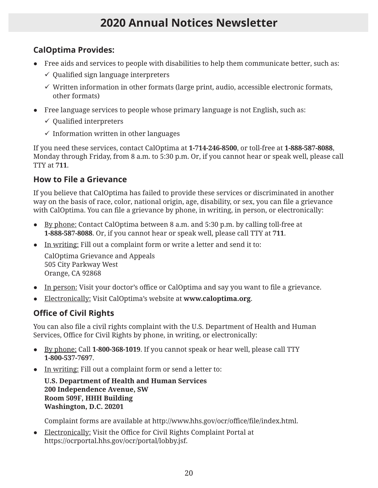#### **CalOptima Provides:**

- Free aids and services to people with disabilities to help them communicate better, such as:
	- $\checkmark$  Oualified sign language interpreters
	- $\checkmark$  Written information in other formats (large print, audio, accessible electronic formats, other formats)
- Free language services to people whose primary language is not English, such as:
	- $\checkmark$  Qualified interpreters
	- $\checkmark$  Information written in other languages

If you need these services, contact CalOptima at **1-714-246-8500**, or toll-free at **1-888-587-8088**, Monday through Friday, from 8 a.m. to 5:30 p.m. Or, if you cannot hear or speak well, please call TTY at **711**.

#### **How to File a Grievance**

If you believe that CalOptima has failed to provide these services or discriminated in another way on the basis of race, color, national origin, age, disability, or sex, you can file a grievance with CalOptima. You can file a grievance by phone, in writing, in person, or electronically:

- By phone: Contact CalOptima between 8 a.m. and 5:30 p.m. by calling toll-free at **1-888-587-8088**. Or, if you cannot hear or speak well, please call TTY at **711**.
- In writing: Fill out a complaint form or write a letter and send it to:

CalOptima Grievance and Appeals 505 City Parkway West Orange, CA 92868

- In person: Visit your doctor's office or CalOptima and say you want to file a grievance.
- **Electronically:** Visit CalOptima's website at **[www.caloptima.org](http://www.caloptima.org).**

### **Office of Civil Rights**

You can also file a civil rights complaint with the U.S. Department of Health and Human Services, Office for Civil Rights by phone, in writing, or electronically:

- By phone: Call **1-800-368-1019**. If you cannot speak or hear well, please call TTY **1-800-537-7697**.
- In writing: Fill out a complaint form or send a letter to:

**U.S. Department of Health and Human Services 200 Independence Avenue, SW Room 509F, HHH Building Washington, D.C. 20201**

Complaint forms are available at [http://www.hhs.gov/ocr/office/file/index.html.](http://www.hhs.gov/ocr/office/file/index.html)

**Electronically:** Visit the Office for Civil Rights Complaint Portal at [https://ocrportal.hhs.gov/ocr/portal/lobby.jsf.](https://ocrportal.hhs.gov/ocr/portal/lobby.jsf)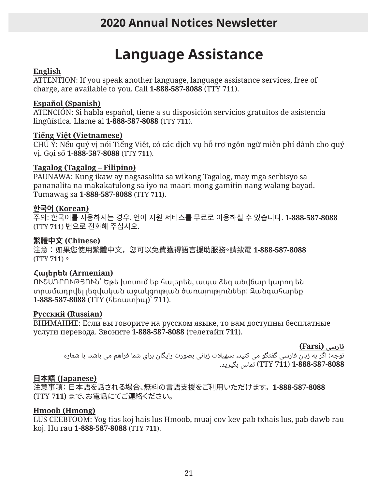### **Language Assistance**

#### **English**

ATTENTION: If you speak another language, language assistance services, free of charge, are available to you. Call **1-888-587-8088** (TTY 711).

#### **Español (Spanish)**

ATENCIÓN: Si habla español, tiene a su disposición servicios gratuitos de asistencia lingüística. Llame al **1-888-587-8088** (TTY **711**).

#### **Tiếng Việt (Vietnamese)**

CHÚ Ý: Nếu quý vị nói Tiếng Việt, có các dịch vụ hỗ trợ ngôn ngữ miễn phí dành cho quý vị. Gọi số **1-888-587-8088** (TTY **711**).

#### **Tagalog (Tagalog – Filipino)**

PAUNAWA: Kung ikaw ay nagsasalita sa wikang Tagalog, may mga serbisyo sa pananalita na makakatulong sa iyo na maari mong gamitin nang walang bayad. Tumawag sa **1-888-587-8088** (TTY **711**).

#### **한국어 (Korean)**

주의: 한국어를 사용하시는 경우, 언어 지원 서비스를 무료로 이용하실 수 있습니다. **1-888-587-8088** (TTY **711**) 번으로 전화해 주십시오.

#### **繁體中文 (Chinese)**

注意:如果您使用繁體中文,您可以免費獲得語言援助服務。請致電 **1-888-587-8088** (TTY **711**)。

#### **Հայերեն (Armenian)**

ՈՒՇԱԴՐՈՒԹՅՈՒՆ՝ Եթե խոսում եք հայերեն, ապա ձեզ անվճար կարող են տրամադրվել լեզվական աջակցության ծառայություններ: Զանգահարեք **1-888-587-8088** (TTY (հեռատիպ)՝ **711**).

#### **Русский (Russian)**

ВНИМАНИЕ: Если вы говорите на русском языке, то вам доступны бесплатные услуги перевода. Звоните **1-888-587-8088** (телетайп **711**).

**فارسی (Farsi(** توجه: اگر به زبان فارسی گفتگو می کنید، تسهیالت زبانی بصورت رایگان برای شما فراهم می باشد. با شماره **1-888-587-8088** (**711** TTY (تماس بگیرید.

#### **日本語 (Japanese)**

注意事項: 日本語を話される場合、無料の言語支援をご利用いただけます。**1-888-587-8088** (TTY **711**) まで、お電話にてご連絡ください。

#### **Hmoob (Hmong)**

LUS CEEBTOOM: Yog tias koj hais lus Hmoob, muaj cov kev pab txhais lus, pab dawb rau koj. Hu rau **1-888-587-8088** (TTY **711**).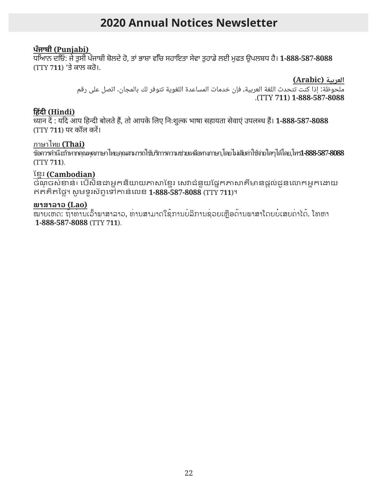#### **ਪੰਜਾਬੀ (Punjabi)**

ਧਿਆਨ ਦਿਓ: ਜੇ ਤੁਸੀਂ ਪੰਜਾਬੀ ਬੋਲਦੇ ਹੋ, ਤਾਂ ਭਾਸ਼ਾ ਵਿੱਚ ਸਹਾਇਤਾ ਸੇਵਾ ਤੁਹਾਡੇ ਲਈ ਮੁਫਤ ਉਪਲਬਧ ਹੈ। **1-888-587-8088** (TTY **711**) 'ਤੇ ਕਾਲ ਕਰੋ।.

**العربية (Arabic(**

ملحوظة: إذا كنت تتحدث اللغة العربية، فإن خدمات المساعدة اللغوية تتوفر لك بالمجان. اتصل على رقم .(TTY **711**) **1-888-587-8088** 

#### **हिंदी (Hindi)**

ध्यान दें : ्दद आप हिनददी बोलते िैं, तो आपके ललए हनःशुलक भयाषया सिया्तया सेवयाएं उपलब्ध िैं। **1-888-587-8088** (TTY **711**) पर कॉल करें।

#### ภาษาไทย **(Thai)**

ข้อควรคำานึง: ถ้าหากคุณพูดภาษาไทย, คุณสามารถใช้บริการความช่วยเหลือทางภาษา, โดยไม่เสียค่าใช้จ่ายใด ๆ ได้โดย, โทร**1-888-587-8088** (TTY **711**).

#### ខ្មែរ **(Cambodian)**

ិចំណុចសំខាន់៖ បើសិនជាអ្នកនិយាយភាសាខ្មែរ សេវាជំនួយផ្នែកភាសាគឺមានផ្តល់ជូនលោកអ្នកដោយ ឥតគិតថ្លៃ។ សូមទូរស័ព្ទទៅកាន់លេខ **1-888-587-8088** (TTY 711)។

#### **ພາສາລາວ (Lao)**

ໝາຍເຫດ: ຖ້າທ່ານເວົ້າພາສາລາວ, ທ່ານສາມາດໃຊ້ການບໍລິການຊ່ວຍເຫຼືອດ້ານພາສາໂດຍບໍ່ເສຍຄ່າໄດ້. ໂທຫາ **1-888-587-8088** (TTY **711**).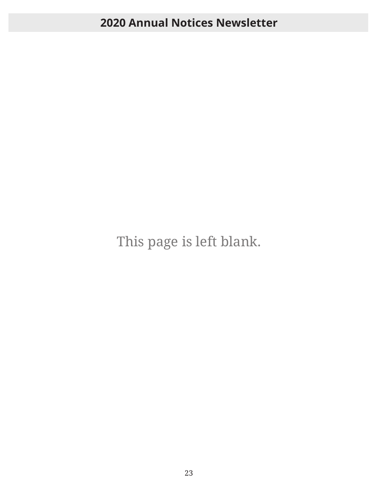This page is left blank.